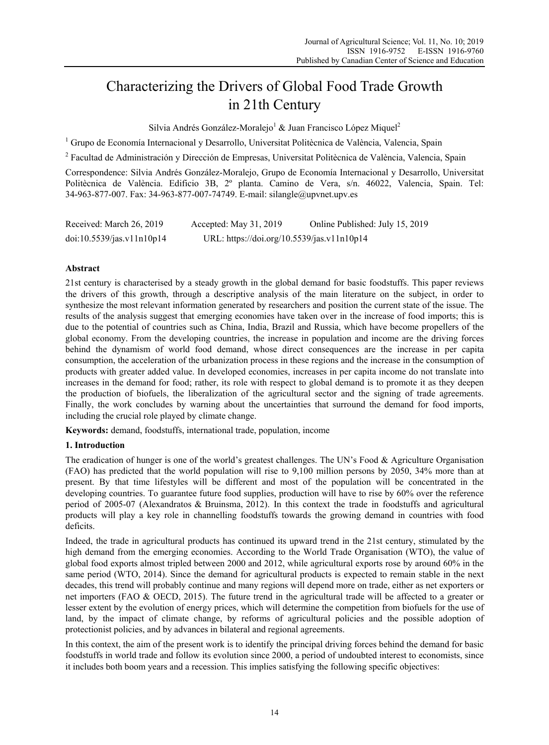# Characterizing the Drivers of Global Food Trade Growth in 21th Century

Silvia Andrés González-Moralejo<sup>1</sup> & Juan Francisco López Miquel<sup>2</sup>

<sup>1</sup> Grupo de Economía Internacional y Desarrollo, Universitat Politècnica de València, Valencia, Spain

<sup>2</sup> Facultad de Administración y Dirección de Empresas, Universitat Politècnica de València, Valencia, Spain

Correspondence: Silvia Andrés González-Moralejo, Grupo de Economía Internacional y Desarrollo, Universitat Politècnica de València. Edificio 3B, 2º planta. Camino de Vera, s/n. 46022, Valencia, Spain. Tel: 34-963-877-007. Fax: 34-963-877-007-74749. E-mail: silangle@upvnet.upv.es

| Received: March 26, 2019  | Accepted: May $31, 2019$                   | Online Published: July 15, 2019 |
|---------------------------|--------------------------------------------|---------------------------------|
| doi:10.5539/jas.v11n10p14 | URL: https://doi.org/10.5539/jas.v11n10p14 |                                 |

# **Abstract**

21st century is characterised by a steady growth in the global demand for basic foodstuffs. This paper reviews the drivers of this growth, through a descriptive analysis of the main literature on the subject, in order to synthesize the most relevant information generated by researchers and position the current state of the issue. The results of the analysis suggest that emerging economies have taken over in the increase of food imports; this is due to the potential of countries such as China, India, Brazil and Russia, which have become propellers of the global economy. From the developing countries, the increase in population and income are the driving forces behind the dynamism of world food demand, whose direct consequences are the increase in per capita consumption, the acceleration of the urbanization process in these regions and the increase in the consumption of products with greater added value. In developed economies, increases in per capita income do not translate into increases in the demand for food; rather, its role with respect to global demand is to promote it as they deepen the production of biofuels, the liberalization of the agricultural sector and the signing of trade agreements. Finally, the work concludes by warning about the uncertainties that surround the demand for food imports, including the crucial role played by climate change.

**Keywords:** demand, foodstuffs, international trade, population, income

# **1. Introduction**

The eradication of hunger is one of the world's greatest challenges. The UN's Food & Agriculture Organisation (FAO) has predicted that the world population will rise to 9,100 million persons by 2050, 34% more than at present. By that time lifestyles will be different and most of the population will be concentrated in the developing countries. To guarantee future food supplies, production will have to rise by 60% over the reference period of 2005-07 (Alexandratos & Bruinsma, 2012). In this context the trade in foodstuffs and agricultural products will play a key role in channelling foodstuffs towards the growing demand in countries with food deficits.

Indeed, the trade in agricultural products has continued its upward trend in the 21st century, stimulated by the high demand from the emerging economies. According to the World Trade Organisation (WTO), the value of global food exports almost tripled between 2000 and 2012, while agricultural exports rose by around 60% in the same period (WTO, 2014). Since the demand for agricultural products is expected to remain stable in the next decades, this trend will probably continue and many regions will depend more on trade, either as net exporters or net importers (FAO & OECD, 2015). The future trend in the agricultural trade will be affected to a greater or lesser extent by the evolution of energy prices, which will determine the competition from biofuels for the use of land, by the impact of climate change, by reforms of agricultural policies and the possible adoption of protectionist policies, and by advances in bilateral and regional agreements.

In this context, the aim of the present work is to identify the principal driving forces behind the demand for basic foodstuffs in world trade and follow its evolution since 2000, a period of undoubted interest to economists, since it includes both boom years and a recession. This implies satisfying the following specific objectives: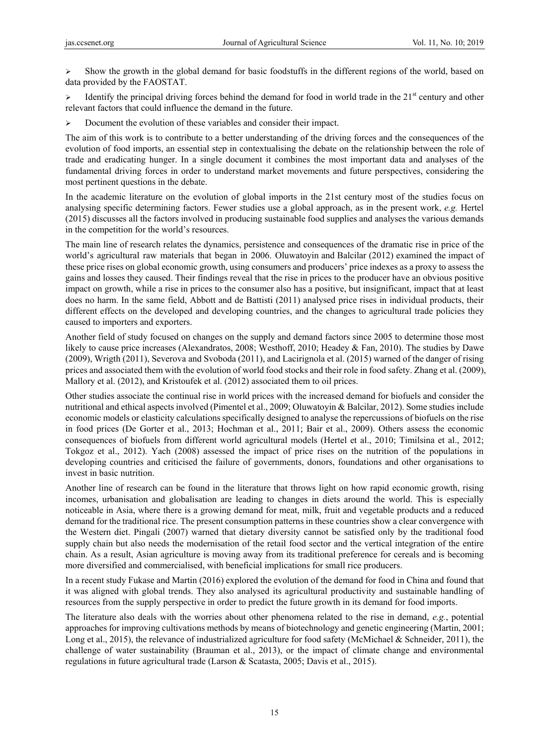$\triangleright$  Show the growth in the global demand for basic foodstuffs in the different regions of the world, based on data provided by the FAOSTAT.

Identify the principal driving forces behind the demand for food in world trade in the  $21<sup>st</sup>$  century and other relevant factors that could influence the demand in the future.

Document the evolution of these variables and consider their impact.

The aim of this work is to contribute to a better understanding of the driving forces and the consequences of the evolution of food imports, an essential step in contextualising the debate on the relationship between the role of trade and eradicating hunger. In a single document it combines the most important data and analyses of the fundamental driving forces in order to understand market movements and future perspectives, considering the most pertinent questions in the debate.

In the academic literature on the evolution of global imports in the 21st century most of the studies focus on analysing specific determining factors. Fewer studies use a global approach, as in the present work, *e.g.* Hertel (2015) discusses all the factors involved in producing sustainable food supplies and analyses the various demands in the competition for the world's resources.

The main line of research relates the dynamics, persistence and consequences of the dramatic rise in price of the world's agricultural raw materials that began in 2006. Oluwatoyin and Balcilar (2012) examined the impact of these price rises on global economic growth, using consumers and producers' price indexes as a proxy to assess the gains and losses they caused. Their findings reveal that the rise in prices to the producer have an obvious positive impact on growth, while a rise in prices to the consumer also has a positive, but insignificant, impact that at least does no harm. In the same field, Abbott and de Battisti (2011) analysed price rises in individual products, their different effects on the developed and developing countries, and the changes to agricultural trade policies they caused to importers and exporters.

Another field of study focused on changes on the supply and demand factors since 2005 to determine those most likely to cause price increases (Alexandratos, 2008; Westhoff, 2010; Headey & Fan, 2010). The studies by Dawe (2009), Wrigth (2011), Severova and Svoboda (2011), and Lacirignola et al. (2015) warned of the danger of rising prices and associated them with the evolution of world food stocks and their role in food safety. Zhang et al. (2009), Mallory et al. (2012), and Kristoufek et al. (2012) associated them to oil prices.

Other studies associate the continual rise in world prices with the increased demand for biofuels and consider the nutritional and ethical aspects involved (Pimentel et al., 2009; Oluwatoyin & Balcilar, 2012). Some studies include economic models or elasticity calculations specifically designed to analyse the repercussions of biofuels on the rise in food prices (De Gorter et al., 2013; Hochman et al., 2011; Bair et al., 2009). Others assess the economic consequences of biofuels from different world agricultural models (Hertel et al., 2010; Timilsina et al., 2012; Tokgoz et al., 2012). Yach (2008) assessed the impact of price rises on the nutrition of the populations in developing countries and criticised the failure of governments, donors, foundations and other organisations to invest in basic nutrition.

Another line of research can be found in the literature that throws light on how rapid economic growth, rising incomes, urbanisation and globalisation are leading to changes in diets around the world. This is especially noticeable in Asia, where there is a growing demand for meat, milk, fruit and vegetable products and a reduced demand for the traditional rice. The present consumption patterns in these countries show a clear convergence with the Western diet. Pingali (2007) warned that dietary diversity cannot be satisfied only by the traditional food supply chain but also needs the modernisation of the retail food sector and the vertical integration of the entire chain. As a result, Asian agriculture is moving away from its traditional preference for cereals and is becoming more diversified and commercialised, with beneficial implications for small rice producers.

In a recent study Fukase and Martin (2016) explored the evolution of the demand for food in China and found that it was aligned with global trends. They also analysed its agricultural productivity and sustainable handling of resources from the supply perspective in order to predict the future growth in its demand for food imports.

The literature also deals with the worries about other phenomena related to the rise in demand, *e.g.*, potential approaches for improving cultivations methods by means of biotechnology and genetic engineering (Martin, 2001; Long et al., 2015), the relevance of industrialized agriculture for food safety (McMichael & Schneider, 2011), the challenge of water sustainability (Brauman et al., 2013), or the impact of climate change and environmental regulations in future agricultural trade (Larson & Scatasta, 2005; Davis et al., 2015).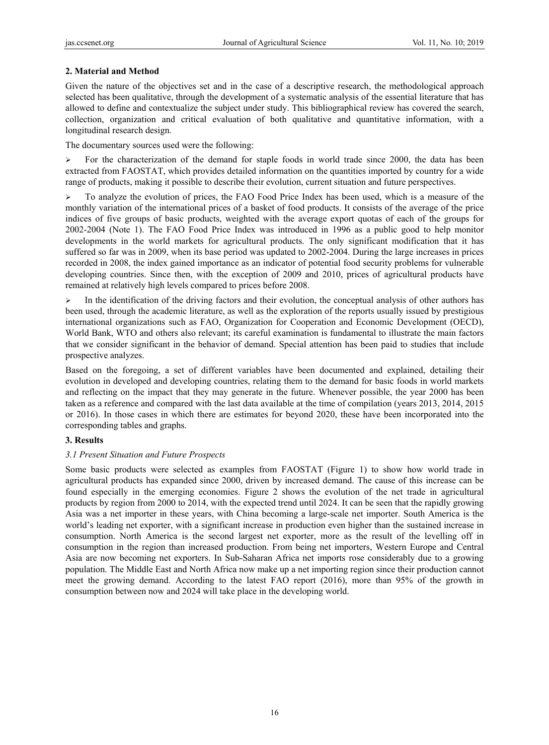# **2. Material and Method**

Given the nature of the objectives set and in the case of a descriptive research, the methodological approach selected has been qualitative, through the development of a systematic analysis of the essential literature that has allowed to define and contextualize the subject under study. This bibliographical review has covered the search, collection, organization and critical evaluation of both qualitative and quantitative information, with a longitudinal research design.

The documentary sources used were the following:

 $\triangleright$  For the characterization of the demand for staple foods in world trade since 2000, the data has been extracted from FAOSTAT, which provides detailed information on the quantities imported by country for a wide range of products, making it possible to describe their evolution, current situation and future perspectives.

 $\triangleright$  To analyze the evolution of prices, the FAO Food Price Index has been used, which is a measure of the monthly variation of the international prices of a basket of food products. It consists of the average of the price indices of five groups of basic products, weighted with the average export quotas of each of the groups for 2002-2004 (Note 1). The FAO Food Price Index was introduced in 1996 as a public good to help monitor developments in the world markets for agricultural products. The only significant modification that it has suffered so far was in 2009, when its base period was updated to 2002-2004. During the large increases in prices recorded in 2008, the index gained importance as an indicator of potential food security problems for vulnerable developing countries. Since then, with the exception of 2009 and 2010, prices of agricultural products have remained at relatively high levels compared to prices before 2008.

 $\triangleright$  In the identification of the driving factors and their evolution, the conceptual analysis of other authors has been used, through the academic literature, as well as the exploration of the reports usually issued by prestigious international organizations such as FAO, Organization for Cooperation and Economic Development (OECD), World Bank, WTO and others also relevant; its careful examination is fundamental to illustrate the main factors that we consider significant in the behavior of demand. Special attention has been paid to studies that include prospective analyzes.

Based on the foregoing, a set of different variables have been documented and explained, detailing their evolution in developed and developing countries, relating them to the demand for basic foods in world markets and reflecting on the impact that they may generate in the future. Whenever possible, the year 2000 has been taken as a reference and compared with the last data available at the time of compilation (years 2013, 2014, 2015 or 2016). In those cases in which there are estimates for beyond 2020, these have been incorporated into the corresponding tables and graphs.

# **3. Results**

# *3.1 Present Situation and Future Prospects*

Some basic products were selected as examples from FAOSTAT (Figure 1) to show how world trade in agricultural products has expanded since 2000, driven by increased demand. The cause of this increase can be found especially in the emerging economies. Figure 2 shows the evolution of the net trade in agricultural products by region from 2000 to 2014, with the expected trend until 2024. It can be seen that the rapidly growing Asia was a net importer in these years, with China becoming a large-scale net importer. South America is the world's leading net exporter, with a significant increase in production even higher than the sustained increase in consumption. North America is the second largest net exporter, more as the result of the levelling off in consumption in the region than increased production. From being net importers, Western Europe and Central Asia are now becoming net exporters. In Sub-Saharan Africa net imports rose considerably due to a growing population. The Middle East and North Africa now make up a net importing region since their production cannot meet the growing demand. According to the latest FAO report (2016), more than 95% of the growth in consumption between now and 2024 will take place in the developing world.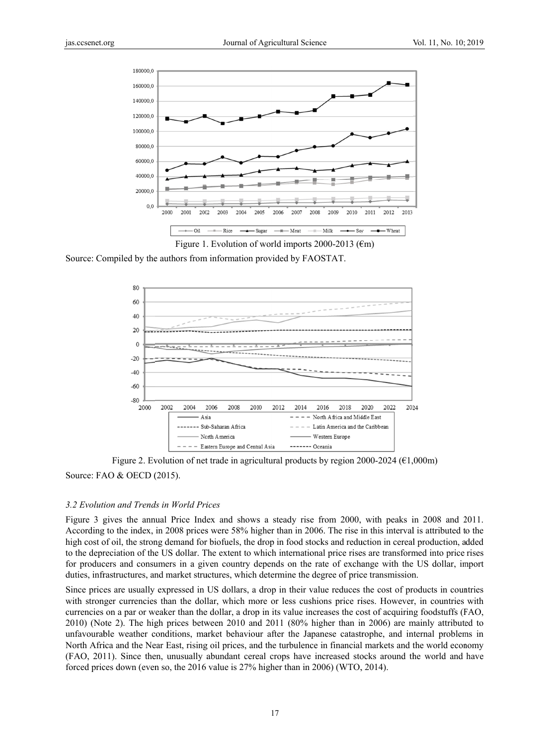

Source: Compiled by the authors from information provided by FAOSTAT.



Source: FAO & OECD (2015). Figure 2. Evolution of net trade in agricultural products by region 2000-2024 ( $\epsilon$ 1,000m)

#### 3.2 Evolution and Trends in World Prices

Figure 3 gives the annual Price Index and shows a steady rise from 2000, with peaks in 2008 and 2011. According to the index, in 2008 prices were 58% higher than in 2006. The rise in this interval is attributed to the high cost of oil, the strong demand for biofuels, the drop in food stocks and reduction in cereal production, added to the depreciation of the US dollar. The extent to which international price rises are transformed into price rises for producers and consumers in a given country depends on the rate of exchange with the US dollar, import duties, infrastructures, and market structures, which determine the degree of price transmission.

Since prices are usually expressed in US dollars, a drop in their value reduces the cost of products in countries with stronger currencies than the dollar, which more or less cushions price rises. However, in countries with currencies on a par or weaker than the dollar, a drop in its value increases the cost of acquiring foodstuffs (FAO,  $2010$ ) (Note 2). The high prices between  $2010$  and  $2011$  (80% higher than in  $2006$ ) are mainly attributed to unfavourable weather conditions, market behaviour after the Japanese catastrophe, and internal problems in North Africa and the Near East, rising oil prices, and the turbulence in financial markets and the world economy (FAO, 2011). Since then, unusually abundant cereal crops have increased stocks around the world and have forced prices down (even so, the  $2016$  value is  $27\%$  higher than in  $2006$ ) (WTO,  $2014$ ).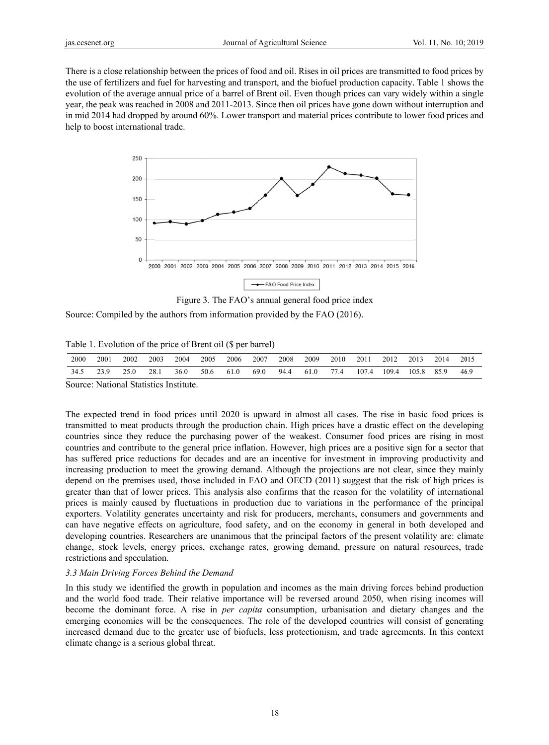There is a close relationship between the prices of food and oil. Rises in oil prices are transmitted to food prices by the use of fertilizers and fuel for harvesting and transport, and the biofuel production capacity. Table 1 shows the evolution of the average annual price of a barrel of Brent oil. Even though prices can vary widely within a single year, the peak was reached in 2008 and 2011-2013. Since then oil prices have gone down without interruption and in mid 2014 had dropped by around 60%. Lower transport and material prices contribute to lower food prices and help to boost international trade.



Figure 3. The FAO's annual general food price index

Source: Compiled by the authors from information provided by the FAO (2016).

Table 1. Evolution of the price of Brent oil (\$ per barrel)

| 2000   | 2001                                                                                                        | 2002 | 2003 | 2004 | 2005 | 2006 | 2007 | 2008 | 2009 | 2010                           | 2011 | 2012 | 2013                   | 2014 | 2015 |
|--------|-------------------------------------------------------------------------------------------------------------|------|------|------|------|------|------|------|------|--------------------------------|------|------|------------------------|------|------|
| 34.5   | , 23.9                                                                                                      | 25.0 | 28.1 | 36.0 | 50.6 | 61.0 | 69.0 | 94.4 | 61.0 | $\therefore$ 77.4 $\therefore$ |      |      | 107.4 109.4 105.8 85.9 |      | 46.9 |
| $\sim$ | $\mathbf{r}$ , and $\mathbf{r}$ , and $\mathbf{r}$ , and $\mathbf{r}$ , and $\mathbf{r}$ , and $\mathbf{r}$ |      |      |      |      |      |      |      |      |                                |      |      |                        |      |      |

Source: National Statistics Institute.

The expected trend in food prices until 2020 is upward in almost all cases. The rise in basic food prices is transmitted to meat products through the production chain. High prices have a drastic effect on the developing countries since they reduce the purchasing power of the weakest. Consumer food prices are rising in most countries and contribute to the general price inflation. However, high prices are a positive sign for a sector that has suffered price reductions for decades and are an incentive for investment in improving productivity and increasing production to meet the growing demand. Although the projections are not clear, since they mainly depend on the premises used, those included in FAO and OECD (2011) suggest that the risk of high prices is greater than that of lower prices. This analysis also confirms that the reason for the volatility of international prices is mainly caused by fluctuations in production due to variations in the performance of the principal exporters. Volatility generates uncertainty and risk for producers, merchants, consumers and governments and can have negative effects on agriculture, food safety, and on the economy in general in both developed and developing countries. Researchers are unanimous that the principal factors of the present volatility are: climate change, stock levels, energy prices, exchange rates, growing demand, pressure on natural resources, trade restrictions and speculation.

# *3.3 Main D Driving Forces s Behind the D Demand*

In this study we identified the growth in population and incomes as the main driving forces behind production and the world food trade. Their relative importance will be reversed around 2050, when rising incomes will become the dominant force. A rise in *per capita* consumption, urbanisation and dietary changes and the economies will be the consequences. The role of the developed countries will consist of generating increased demand due to the greater use of biofuels, less protectionism, and trade agreements. In this context climate change is a serious global threat.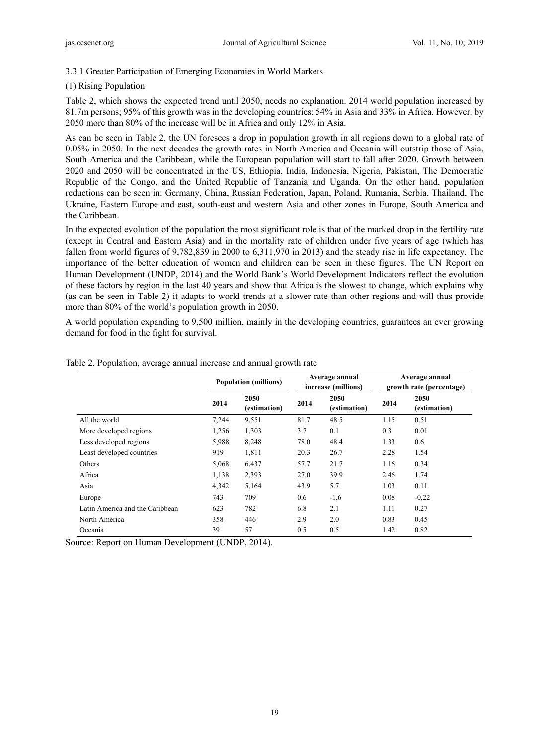# 3.3.1 Greater Participation of Emerging Economies in World Markets

# (1) Rising Population

Table 2, which shows the expected trend until 2050, needs no explanation. 2014 world population increased by 81.7m persons; 95% of this growth was in the developing countries: 54% in Asia and 33% in Africa. However, by 2050 more than 80% of the increase will be in Africa and only 12% in Asia.

As can be seen in Table 2, the UN foresees a drop in population growth in all regions down to a global rate of 0.05% in 2050. In the next decades the growth rates in North America and Oceania will outstrip those of Asia, South America and the Caribbean, while the European population will start to fall after 2020. Growth between 2020 and 2050 will be concentrated in the US, Ethiopia, India, Indonesia, Nigeria, Pakistan, The Democratic Republic of the Congo, and the United Republic of Tanzania and Uganda. On the other hand, population reductions can be seen in: Germany, China, Russian Federation, Japan, Poland, Rumania, Serbia, Thailand, The Ukraine, Eastern Europe and east, south-east and western Asia and other zones in Europe, South America and the Caribbean.

In the expected evolution of the population the most significant role is that of the marked drop in the fertility rate (except in Central and Eastern Asia) and in the mortality rate of children under five years of age (which has fallen from world figures of 9,782,839 in 2000 to 6,311,970 in 2013) and the steady rise in life expectancy. The importance of the better education of women and children can be seen in these figures. The UN Report on Human Development (UNDP, 2014) and the World Bank's World Development Indicators reflect the evolution of these factors by region in the last 40 years and show that Africa is the slowest to change, which explains why (as can be seen in Table 2) it adapts to world trends at a slower rate than other regions and will thus provide more than 80% of the world's population growth in 2050.

A world population expanding to 9,500 million, mainly in the developing countries, guarantees an ever growing demand for food in the fight for survival.

|                                 |       | <b>Population (millions)</b> |      | Average annual<br>increase (millions) | Average annual<br>growth rate (percentage) |                      |  |  |
|---------------------------------|-------|------------------------------|------|---------------------------------------|--------------------------------------------|----------------------|--|--|
|                                 | 2014  | 2050<br>(estimation)         | 2014 | 2050<br>(estimation)                  | 2014                                       | 2050<br>(estimation) |  |  |
| All the world                   | 7,244 | 9,551                        | 81.7 | 48.5                                  | 1.15                                       | 0.51                 |  |  |
| More developed regions          | 1,256 | 1,303                        | 3.7  | 0.1                                   | 0.3                                        | 0.01                 |  |  |
| Less developed regions          | 5,988 | 8,248                        | 78.0 | 48.4                                  | 1.33                                       | 0.6                  |  |  |
| Least developed countries       | 919   | 1,811                        | 20.3 | 26.7                                  | 2.28                                       | 1.54                 |  |  |
| Others                          | 5,068 | 6,437                        | 57.7 | 21.7                                  | 1.16                                       | 0.34                 |  |  |
| Africa                          | 1,138 | 2,393                        | 27.0 | 39.9                                  | 2.46                                       | 1.74                 |  |  |
| Asia                            | 4,342 | 5,164                        | 43.9 | 5.7                                   | 1.03                                       | 0.11                 |  |  |
| Europe                          | 743   | 709                          | 0.6  | $-1,6$                                | 0.08                                       | $-0,22$              |  |  |
| Latin America and the Caribbean | 623   | 782                          | 6.8  | 2.1                                   | 1.11                                       | 0.27                 |  |  |
| North America                   | 358   | 446                          | 2.9  | 2.0                                   | 0.83                                       | 0.45                 |  |  |
| Oceania                         | 39    | 57                           | 0.5  | 0.5                                   | 1.42                                       | 0.82                 |  |  |

Table 2. Population, average annual increase and annual growth rate

Source: Report on Human Development (UNDP, 2014).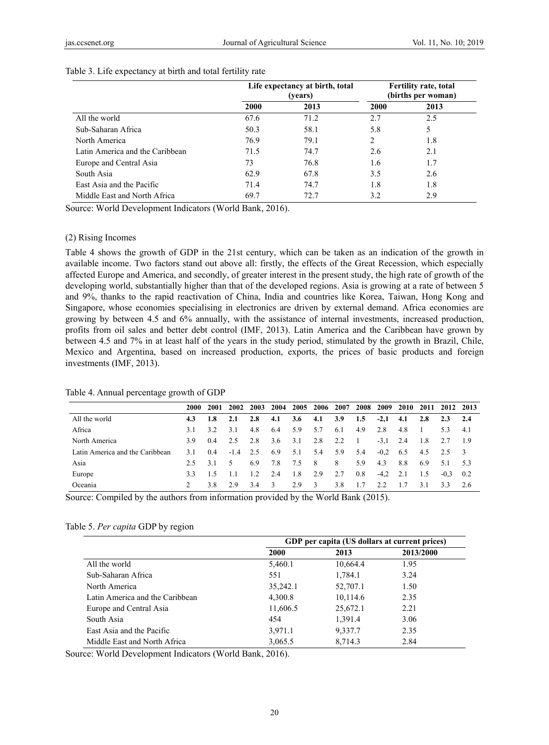|                                 |             | Life expectancy at birth, total<br>(years) |      | <b>Fertility rate, total</b><br>(births per woman) |
|---------------------------------|-------------|--------------------------------------------|------|----------------------------------------------------|
|                                 | <b>2000</b> | 2013                                       | 2000 | 2013                                               |
| All the world                   | 67.6        | 71.2                                       | 2.7  | 2.5                                                |
| Sub-Saharan Africa              | 50.3        | 58.1                                       | 5.8  | 5                                                  |
| North America                   | 76.9        | 79.1                                       | 2    | 1.8                                                |
| Latin America and the Caribbean | 71.5        | 74.7                                       | 2.6  | 2.1                                                |
| Europe and Central Asia         | 73          | 76.8                                       | 1.6  | 1.7                                                |
| South Asia                      | 62.9        | 67.8                                       | 3.5  | 2.6                                                |
| East Asia and the Pacific       | 71.4        | 74.7                                       | 1.8  | 1.8                                                |
| Middle East and North Africa    | 69.7        | 72.7                                       | 3.2  | 2.9                                                |

#### Table 3. Life expectancy at birth and total fertility rate

Source: World Development Indicators (World Bank, 2016).

#### (2) Rising Incomes

Table 4 shows the growth of GDP in the 21st century, which can be taken as an indication of the growth in available income. Two factors stand out above all: firstly, the effects of the Great Recession, which especially affected Europe and America, and secondly, of greater interest in the present study, the high rate of growth of the developing world, substantially higher than that of the developed regions. Asia is growing at a rate of between 5 and 9%, thanks to the rapid reactivation of China, India and countries like Korea, Taiwan, Hong Kong and Singapore, whose economies specialising in electronics are driven by external demand. Africa economies are growing by between 4.5 and 6% annually, with the assistance of internal investments, increased production, profits from oil sales and better debt control (IMF, 2013). Latin America and the Caribbean have grown by between 4.5 and 7% in at least half of the years in the study period, stimulated by the growth in Brazil, Chile, Mexico and Argentina, based on increased production, exports, the prices of basic products and foreign investments (IMF, 2013).

#### Table 4. Annual percentage growth of GDP

|                                 | 2000 | 2001 | 2002   | 2003 | 2004          | 2005 | 2006 | 2007 | 2008 | 2009   | 2010 | 2011 |        | 2012 2013     |
|---------------------------------|------|------|--------|------|---------------|------|------|------|------|--------|------|------|--------|---------------|
| All the world                   | 4.3  | 1.8  | 2.1    | 2.8  | 4.1           | 3.6  | 4.1  | 3.9  | 1.5  | $-2,1$ | 4.1  | 2.8  | 2.3    | 2.4           |
| Africa                          | 3.1  | 3.2  | 3.1    | 4.8  | 6.4           | 5.9  | 5.7  | 6.1  | 4.9  | 2.8    | 4.8  |      | 53     | -4.1          |
| North America                   | 3.9  | 0.4  | 2.5    | 2.8  | 3.6           | 3.1  | 2.8  | 2.2  | - 1  | $-3,1$ | 2.4  | -1.8 |        | - 1.9         |
| Latin America and the Caribbean | 3.1  | 0.4  | $-1.4$ | 2.5  | 6.9           | 5.1  | 5.4  | 5.9  | 5.4  | $-0.2$ | 6.5  | 4.5  | 2.5    | $\mathcal{F}$ |
| Asia                            | 2.5  | 3.1  | 5.     | 6.9  | 7.8           | 7.5  | - 8  | 8    | 5.9  | 4.3    | 8.8  | 6.9  | 5.1    | -53           |
| Europe                          | 3.3  | 1.5  |        | 1.2  | 2.4           | 1.8  | 2.9  | 2.7  | 0.8  | $-4.2$ | 2.1  | 1.5  | $-0.3$ | 0.2           |
| Oceania                         |      | 3.8  | 2.9    | 3.4  | $\mathcal{R}$ | 2.9  | -3   | 3.8  | 1.7  | 2.2    | 1.7  | 3.1  | 3.3    | 2.6           |

Source: Compiled by the authors from information provided by the World Bank (2015).

#### Table 5. *Per capita* GDP by region

|                                 | GDP per capita (US dollars at current prices) |          |           |  |  |  |  |  |
|---------------------------------|-----------------------------------------------|----------|-----------|--|--|--|--|--|
|                                 | <b>2000</b>                                   | 2013     | 2013/2000 |  |  |  |  |  |
| All the world                   | 5,460.1                                       | 10,664.4 | 1.95      |  |  |  |  |  |
| Sub-Saharan Africa              | 551                                           | 1,784.1  | 3.24      |  |  |  |  |  |
| North America                   | 35,242.1                                      | 52,707.1 | 1.50      |  |  |  |  |  |
| Latin America and the Caribbean | 4,300.8                                       | 10,114.6 | 2.35      |  |  |  |  |  |
| Europe and Central Asia         | 11,606.5                                      | 25,672.1 | 2.21      |  |  |  |  |  |
| South Asia                      | 454                                           | 1,391.4  | 3.06      |  |  |  |  |  |
| East Asia and the Pacific       | 3,971.1                                       | 9,337.7  | 2.35      |  |  |  |  |  |
| Middle East and North Africa    | 3,065.5                                       | 8,714.3  | 2.84      |  |  |  |  |  |

Source: World Development Indicators (World Bank, 2016).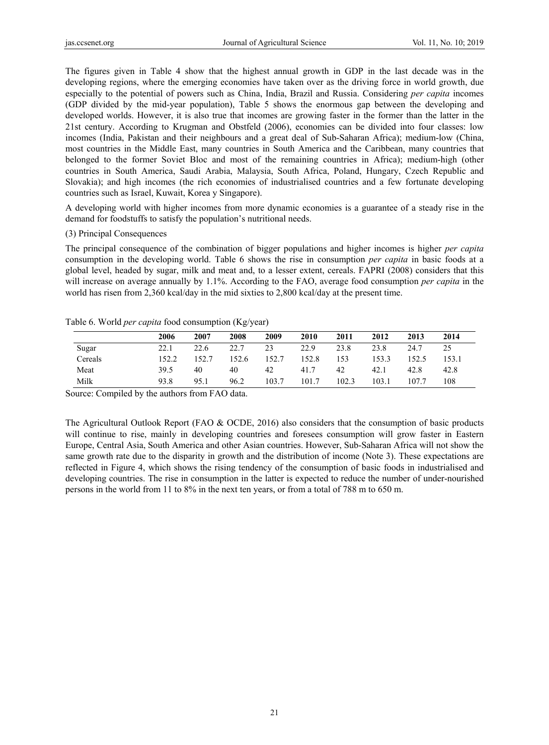The figures given in Table 4 show that the highest annual growth in GDP in the last decade was in the developing regions, where the emerging economies have taken over as the driving force in world growth, due especially to the potential of powers such as China, India, Brazil and Russia. Considering *per capita* incomes (GDP divided by the mid-year population), Table 5 shows the enormous gap between the developing and developed worlds. However, it is also true that incomes are growing faster in the former than the latter in the 21st century. According to Krugman and Obstfeld (2006), economies can be divided into four classes: low incomes (India, Pakistan and their neighbours and a great deal of Sub-Saharan Africa); medium-low (China, most countries in the Middle East, many countries in South America and the Caribbean, many countries that belonged to the former Soviet Bloc and most of the remaining countries in Africa); medium-high (other countries in South America, Saudi Arabia, Malaysia, South Africa, Poland, Hungary, Czech Republic and Slovakia); and high incomes (the rich economies of industrialised countries and a few fortunate developing countries such as Israel, Kuwait, Korea y Singapore).

A developing world with higher incomes from more dynamic economies is a guarantee of a steady rise in the demand for foodstuffs to satisfy the population's nutritional needs.

## (3) Principal Consequences

The principal consequence of the combination of bigger populations and higher incomes is higher *per capita* consumption in the developing world. Table 6 shows the rise in consumption *per capita* in basic foods at a global level, headed by sugar, milk and meat and, to a lesser extent, cereals. FAPRI (2008) considers that this will increase on average annually by 1.1%. According to the FAO, average food consumption *per capita* in the world has risen from 2,360 kcal/day in the mid sixties to 2,800 kcal/day at the present time.

## Table 6. World *per capita* food consumption (Kg/year)

|         | 2006  | 2007  | 2008  | 2009  | 2010  | 2011  | 2012  | 2013  | 2014  |
|---------|-------|-------|-------|-------|-------|-------|-------|-------|-------|
| Sugar   | 22.1  | 22.6  | 22.7  | 23    | 22.9  | 23.8  | 23.8  | 24.7  | 25    |
| Cereals | 152.2 | 152.7 | 152.6 | 152.7 | 152.8 | 153   | 153.3 | 152.5 | 153.1 |
| Meat    | 39.5  | 40    | 40    | 42    | 41.7  | 42    | 42.1  | 42.8  | 42.8  |
| Milk    | 93.8  | 95.1  | 96.2  | 103.7 | 101.7 | 102.3 | 103.1 | 107.7 | 108   |

Source: Compiled by the authors from FAO data.

The Agricultural Outlook Report (FAO & OCDE, 2016) also considers that the consumption of basic products will continue to rise, mainly in developing countries and foresees consumption will grow faster in Eastern Europe, Central Asia, South America and other Asian countries. However, Sub-Saharan Africa will not show the same growth rate due to the disparity in growth and the distribution of income (Note 3). These expectations are reflected in Figure 4, which shows the rising tendency of the consumption of basic foods in industrialised and developing countries. The rise in consumption in the latter is expected to reduce the number of under-nourished persons in the world from 11 to 8% in the next ten years, or from a total of 788 m to 650 m.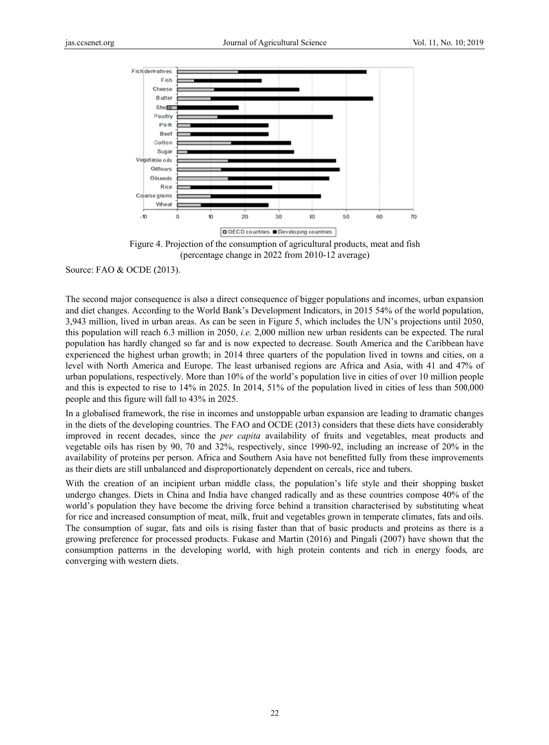



Source: FAO & OCDE (2013).

The second major consequence is also a direct consequence of bigger populations and incomes, urban expansion and diet changes. According to the World Bank's Development Indicators, in 2015 54% of the world population, 3,943 million, lived in urban areas. As can be seen in Figure 5, which includes the UN's projections until 2050, this population will reach 6.3 million in 2050, *i.e.* 2,000 million new urban residents can be expected. The rural population has hardly changed so far and is now expected to decrease. South America and the Caribbean have experienced the highest urban growth; in 2014 three quarters of the population lived in towns and cities, on a level with North America and Europe. The least urbanised regions are Africa and Asia, with 41 and 47% of urban populations, respectively. More than 10% of the world's population live in cities of over 10 million people and this is expected to rise to  $14\%$  in 2025. In 2014, 51% of the population lived in cities of less than  $500,000$ people and this figure will fall to 43% in 2025.

In a globalised framework, the rise in incomes and unstoppable urban expansion are leading to dramatic changes in the diets of the developing countries. The FAO and OCDE (2013) considers that these diets have considerably improved in recent decades, since the *per capita* availability of fruits and vegetables, meat products and vegetable oils has risen by 90, 70 and 32%, respectively, since 1990-92, including an increase of 20% in the availability of proteins per person. Africa and Southern Asia have not benefitted fully from these improvements as their diets are still unbalanced and disproportionately dependent on cereals, rice and tubers.

With the creation of an incipient urban middle class, the population's life style and their shopping basket undergo changes. Diets in China and India have changed radically and as these countries compose 40% of the world's population they have become the driving force behind a transition characterised by substituting wheat for rice and increased consumption of meat, milk, fruit and vegetables grown in temperate climates, fats and oils. The consumption of sugar, fats and oils is rising faster than that of basic products and proteins as there is a growing preference for processed products. Fukase and Martin (2016) and Pingali (2007) have shown that the consumption patterns in the developing world, with high protein contents and rich in energy foods, are converging with western diets.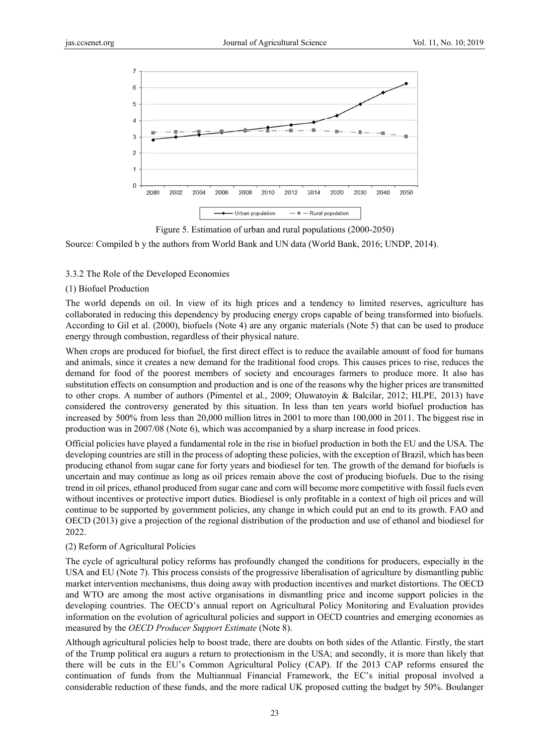

Figure 5. Estimation of urban and rural populations (2000-2050)

Source: Compiled b y the authors from World Bank and UN data (World Bank, 2016; UNDP, 2014).

# 3.3.2 The Role of the Developed Economies

## (1) Biofuel Production

The world depends on oil. In view of its high prices and a tendency to limited reserves, agriculture has collaborated in reducing this dependency by producing energy crops capable of being transformed into biofuels. According to Gil et al. (2000), biofuels (Note 4) are any organic materials (Note 5) that can be used to produce energy through combustion, regardless of their physical nature.

When crops are produced for biofuel, the first direct effect is to reduce the available amount of food for humans and animals, since it creates a new demand for the traditional food crops. This causes prices to rise, reduces the demand for food of the poorest members of society and encourages farmers to produce more. It also has substitution effects on consumption and production and is one of the reasons why the higher prices are transmitted to other crops. A number of authors (Pimentel et al., 2009; Oluwatoyin & Balcilar, 2012; HLPE, 2013) have considered the controversy generated by this situation. In less than ten years world biofuel production has increased by 500% from less than 20,000 million litres in 2001 to more than 100,000 in 2011. The biggest rise in production was in 2007/08 (Note 6), which was accompanied by a sharp increase in food prices.

Official policies have played a fundamental role in the rise in biofuel production in both the EU and the USA. The developing countries are still in the process of adopting these policies, with the exception of Brazil, which has been producing ethanol from sugar cane for forty years and biodiesel for ten. The growth of the demand for biofuels is uncertain and may continue as long as oil prices remain above the cost of producing biofuels. Due to the rising trend in oil prices, ethanol produced from sugar cane and corn will become more competitive with fossil fuels even without incentives or protective import duties. Biodiesel is only profitable in a context of high oil prices and will continue to be supported by government policies, any change in which could put an end to its growth. FAO and OECD (2013) give a projection of the regional distribution of the production and use of ethanol and biodiesel for 2022.

# (2) Reform of Agricultural Policies

The cycle of agricultural policy reforms has profoundly changed the conditions for producers, especially in the USA and EU (Note 7). This process consists of the progressive liberalisation of agriculture by dismantling public market intervention mechanisms, thus doing away with production incentives and market distortions. The OECD and WTO are among the most active organisations in dismantling price and income support policies in the developing countries. The OECD's annual report on Agricultural Policy Monitoring and Evaluation provides information on the evolution of agricultural policies and support in OECD countries and emerging economies as measured by the *OECD Producer Support Estimate* (Note 8).

Although agricultural policies help to boost trade, there are doubts on both sides of the Atlantic. Firstly, the start of the Trump political era augurs a return to protectionism in the USA; and secondly, it is more than likely that there will be cuts in the EU's Common Agricultural Policy (CAP). If the 2013 CAP reforms ensured the continuation of funds from the Multiannual Financial Framework, the EC's initial proposal involved a considerable reduction of these funds, and the more radical UK proposed cutting the budget by 50%. Boulanger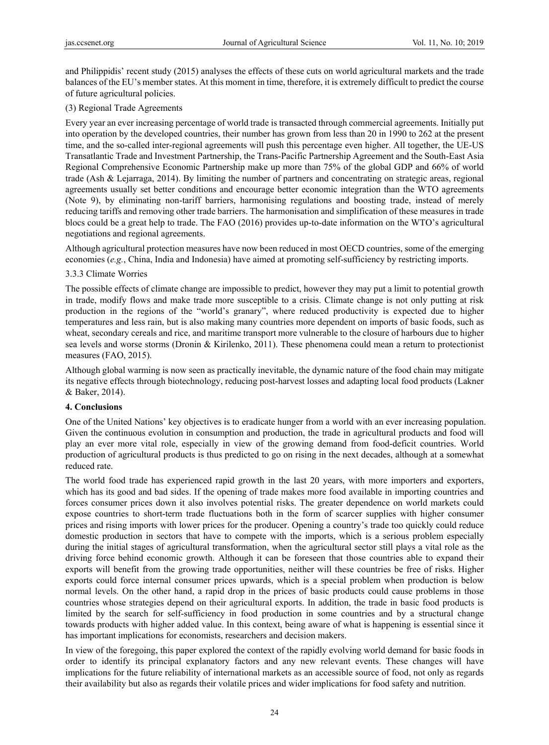and Philippidis' recent study (2015) analyses the effects of these cuts on world agricultural markets and the trade balances of the EU's member states. At this moment in time, therefore, it is extremely difficult to predict the course of future agricultural policies.

# (3) Regional Trade Agreements

Every year an ever increasing percentage of world trade is transacted through commercial agreements. Initially put into operation by the developed countries, their number has grown from less than 20 in 1990 to 262 at the present time, and the so-called inter-regional agreements will push this percentage even higher. All together, the UE-US Transatlantic Trade and Investment Partnership, the Trans-Pacific Partnership Agreement and the South-East Asia Regional Comprehensive Economic Partnership make up more than 75% of the global GDP and 66% of world trade (Ash & Lejarraga, 2014). By limiting the number of partners and concentrating on strategic areas, regional agreements usually set better conditions and encourage better economic integration than the WTO agreements (Note 9), by eliminating non-tariff barriers, harmonising regulations and boosting trade, instead of merely reducing tariffs and removing other trade barriers. The harmonisation and simplification of these measures in trade blocs could be a great help to trade. The FAO (2016) provides up-to-date information on the WTO's agricultural negotiations and regional agreements.

Although agricultural protection measures have now been reduced in most OECD countries, some of the emerging economies (*e.g.*, China, India and Indonesia) have aimed at promoting self-sufficiency by restricting imports.

# 3.3.3 Climate Worries

The possible effects of climate change are impossible to predict, however they may put a limit to potential growth in trade, modify flows and make trade more susceptible to a crisis. Climate change is not only putting at risk production in the regions of the "world's granary", where reduced productivity is expected due to higher temperatures and less rain, but is also making many countries more dependent on imports of basic foods, such as wheat, secondary cereals and rice, and maritime transport more vulnerable to the closure of harbours due to higher sea levels and worse storms (Dronin & Kirilenko, 2011). These phenomena could mean a return to protectionist measures (FAO, 2015).

Although global warming is now seen as practically inevitable, the dynamic nature of the food chain may mitigate its negative effects through biotechnology, reducing post-harvest losses and adapting local food products (Lakner & Baker, 2014).

## **4. Conclusions**

One of the United Nations' key objectives is to eradicate hunger from a world with an ever increasing population. Given the continuous evolution in consumption and production, the trade in agricultural products and food will play an ever more vital role, especially in view of the growing demand from food-deficit countries. World production of agricultural products is thus predicted to go on rising in the next decades, although at a somewhat reduced rate.

The world food trade has experienced rapid growth in the last 20 years, with more importers and exporters, which has its good and bad sides. If the opening of trade makes more food available in importing countries and forces consumer prices down it also involves potential risks. The greater dependence on world markets could expose countries to short-term trade fluctuations both in the form of scarcer supplies with higher consumer prices and rising imports with lower prices for the producer. Opening a country's trade too quickly could reduce domestic production in sectors that have to compete with the imports, which is a serious problem especially during the initial stages of agricultural transformation, when the agricultural sector still plays a vital role as the driving force behind economic growth. Although it can be foreseen that those countries able to expand their exports will benefit from the growing trade opportunities, neither will these countries be free of risks. Higher exports could force internal consumer prices upwards, which is a special problem when production is below normal levels. On the other hand, a rapid drop in the prices of basic products could cause problems in those countries whose strategies depend on their agricultural exports. In addition, the trade in basic food products is limited by the search for self-sufficiency in food production in some countries and by a structural change towards products with higher added value. In this context, being aware of what is happening is essential since it has important implications for economists, researchers and decision makers.

In view of the foregoing, this paper explored the context of the rapidly evolving world demand for basic foods in order to identify its principal explanatory factors and any new relevant events. These changes will have implications for the future reliability of international markets as an accessible source of food, not only as regards their availability but also as regards their volatile prices and wider implications for food safety and nutrition.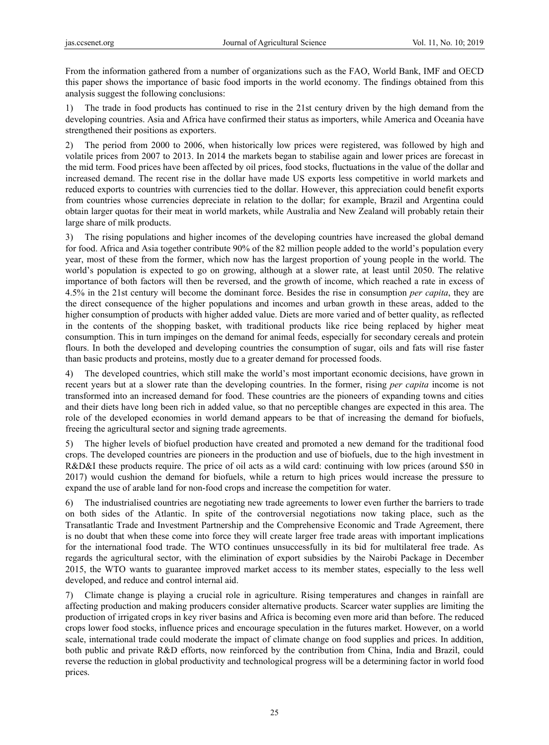From the information gathered from a number of organizations such as the FAO, World Bank, IMF and OECD this paper shows the importance of basic food imports in the world economy. The findings obtained from this analysis suggest the following conclusions:

1) The trade in food products has continued to rise in the 21st century driven by the high demand from the developing countries. Asia and Africa have confirmed their status as importers, while America and Oceania have strengthened their positions as exporters.

2) The period from 2000 to 2006, when historically low prices were registered, was followed by high and volatile prices from 2007 to 2013. In 2014 the markets began to stabilise again and lower prices are forecast in the mid term. Food prices have been affected by oil prices, food stocks, fluctuations in the value of the dollar and increased demand. The recent rise in the dollar have made US exports less competitive in world markets and reduced exports to countries with currencies tied to the dollar. However, this appreciation could benefit exports from countries whose currencies depreciate in relation to the dollar; for example, Brazil and Argentina could obtain larger quotas for their meat in world markets, while Australia and New Zealand will probably retain their large share of milk products.

3) The rising populations and higher incomes of the developing countries have increased the global demand for food. Africa and Asia together contribute 90% of the 82 million people added to the world's population every year, most of these from the former, which now has the largest proportion of young people in the world. The world's population is expected to go on growing, although at a slower rate, at least until 2050. The relative importance of both factors will then be reversed, and the growth of income, which reached a rate in excess of 4.5% in the 21st century will become the dominant force. Besides the rise in consumption *per capita*, they are the direct consequence of the higher populations and incomes and urban growth in these areas, added to the higher consumption of products with higher added value. Diets are more varied and of better quality, as reflected in the contents of the shopping basket, with traditional products like rice being replaced by higher meat consumption. This in turn impinges on the demand for animal feeds, especially for secondary cereals and protein flours. In both the developed and developing countries the consumption of sugar, oils and fats will rise faster than basic products and proteins, mostly due to a greater demand for processed foods.

4) The developed countries, which still make the world's most important economic decisions, have grown in recent years but at a slower rate than the developing countries. In the former, rising *per capita* income is not transformed into an increased demand for food. These countries are the pioneers of expanding towns and cities and their diets have long been rich in added value, so that no perceptible changes are expected in this area. The role of the developed economies in world demand appears to be that of increasing the demand for biofuels, freeing the agricultural sector and signing trade agreements.

5) The higher levels of biofuel production have created and promoted a new demand for the traditional food crops. The developed countries are pioneers in the production and use of biofuels, due to the high investment in R&D&I these products require. The price of oil acts as a wild card: continuing with low prices (around \$50 in 2017) would cushion the demand for biofuels, while a return to high prices would increase the pressure to expand the use of arable land for non-food crops and increase the competition for water.

6) The industrialised countries are negotiating new trade agreements to lower even further the barriers to trade on both sides of the Atlantic. In spite of the controversial negotiations now taking place, such as the Transatlantic Trade and Investment Partnership and the Comprehensive Economic and Trade Agreement, there is no doubt that when these come into force they will create larger free trade areas with important implications for the international food trade. The WTO continues unsuccessfully in its bid for multilateral free trade. As regards the agricultural sector, with the elimination of export subsidies by the Nairobi Package in December 2015, the WTO wants to guarantee improved market access to its member states, especially to the less well developed, and reduce and control internal aid.

7) Climate change is playing a crucial role in agriculture. Rising temperatures and changes in rainfall are affecting production and making producers consider alternative products. Scarcer water supplies are limiting the production of irrigated crops in key river basins and Africa is becoming even more arid than before. The reduced crops lower food stocks, influence prices and encourage speculation in the futures market. However, on a world scale, international trade could moderate the impact of climate change on food supplies and prices. In addition, both public and private R&D efforts, now reinforced by the contribution from China, India and Brazil, could reverse the reduction in global productivity and technological progress will be a determining factor in world food prices.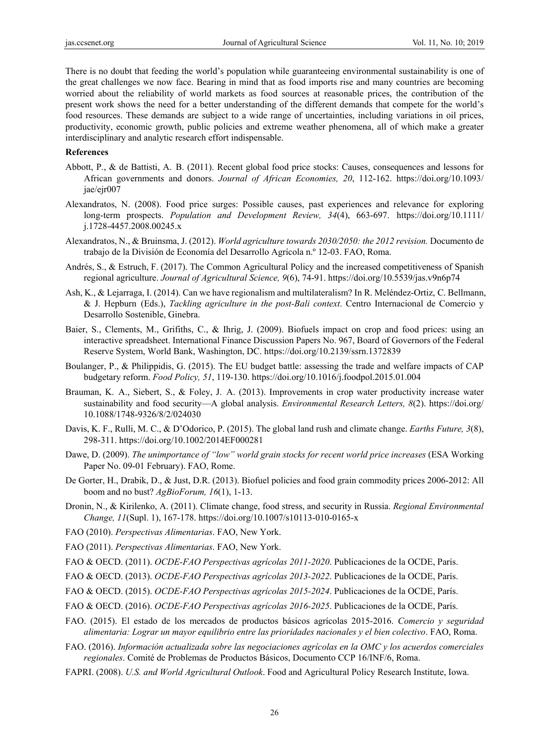There is no doubt that feeding the world's population while guaranteeing environmental sustainability is one of the great challenges we now face. Bearing in mind that as food imports rise and many countries are becoming worried about the reliability of world markets as food sources at reasonable prices, the contribution of the present work shows the need for a better understanding of the different demands that compete for the world's food resources. These demands are subject to a wide range of uncertainties, including variations in oil prices, productivity, economic growth, public policies and extreme weather phenomena, all of which make a greater interdisciplinary and analytic research effort indispensable.

## **References**

- Abbott, P., & de Battisti, A. B. (2011). Recent global food price stocks: Causes, consequences and lessons for African governments and donors. *Journal of African Economies, 20*, 112-162. https://doi.org/10.1093/ jae/ejr007
- Alexandratos, N. (2008). Food price surges: Possible causes, past experiences and relevance for exploring long-term prospects. *Population and Development Review, 34*(4), 663-697. https://doi.org/10.1111/ j.1728-4457.2008.00245.x
- Alexandratos, N., & Bruinsma, J. (2012). *World agriculture towards 2030/2050: the 2012 revision.* Documento de trabajo de la División de Economía del Desarrollo Agrícola n.º 12-03. FAO, Roma.
- Andrés, S., & Estruch, F. (2017). The Common Agricultural Policy and the increased competitiveness of Spanish regional agriculture. *Journal of Agricultural Science, 9*(6), 74-91. https://doi.org/10.5539/jas.v9n6p74
- Ash, K., & Lejarraga, I. (2014). Can we have regionalism and multilateralism? In R. Meléndez-Ortiz, C. Bellmann, & J. Hepburn (Eds.), *Tackling agriculture in the post-Bali context*. Centro Internacional de Comercio y Desarrollo Sostenible, Ginebra.
- Baier, S., Clements, M., Grifiths, C., & Ihrig, J. (2009). Biofuels impact on crop and food prices: using an interactive spreadsheet. International Finance Discussion Papers No. 967, Board of Governors of the Federal Reserve System, World Bank, Washington, DC. https://doi.org/10.2139/ssrn.1372839
- Boulanger, P., & Philippidis, G. (2015). The EU budget battle: assessing the trade and welfare impacts of CAP budgetary reform. *Food Policy, 51*, 119-130. https://doi.org/10.1016/j.foodpol.2015.01.004
- Brauman, K. A., Siebert, S., & Foley, J. A. (2013). Improvements in crop water productivity increase water sustainability and food security—A global analysis. *Environmental Research Letters, 8*(2). https://doi.org/ 10.1088/1748-9326/8/2/024030
- Davis, K. F., Rulli, M. C., & D'Odorico, P. (2015). The global land rush and climate change. *Earths Future, 3*(8), 298-311. https://doi.org/10.1002/2014EF000281
- Dawe, D. (2009). *The unimportance of "low" world grain stocks for recent world price increases* (ESA Working Paper No. 09-01 February). FAO, Rome.
- De Gorter, H., Drabik, D., & Just, D.R. (2013). Biofuel policies and food grain commodity prices 2006-2012: All boom and no bust? *AgBioForum, 16*(1), 1-13.
- Dronin, N., & Kirilenko, A. (2011). Climate change, food stress, and security in Russia. *Regional Environmental Change, 11*(Supl. 1), 167-178. https://doi.org/10.1007/s10113-010-0165-x
- FAO (2010). *Perspectivas Alimentarias*. FAO, New York.
- FAO (2011). *Perspectivas Alimentarias*. FAO, New York.
- FAO & OECD. (2011). *OCDE-FAO Perspectivas agrícolas 2011-2020*. Publicaciones de la OCDE, París.
- FAO & OECD. (2013). *OCDE-FAO Perspectivas agrícolas 2013-2022*. Publicaciones de la OCDE, París.
- FAO & OECD. (2015). *OCDE-FAO Perspectivas agrícolas 2015-2024*. Publicaciones de la OCDE, París.
- FAO & OECD. (2016). *OCDE-FAO Perspectivas agrícolas 2016-2025*. Publicaciones de la OCDE, París.
- FAO. (2015). El estado de los mercados de productos básicos agrícolas 2015-2016. *Comercio y seguridad alimentaria: Lograr un mayor equilibrio entre las prioridades nacionales y el bien colectivo*. FAO, Roma.
- FAO. (2016). *Información actualizada sobre las negociaciones agrícolas en la OMC y los acuerdos comerciales regionales*. Comité de Problemas de Productos Básicos, Documento CCP 16/INF/6, Roma.
- FAPRI. (2008). *U.S. and World Agricultural Outlook*. Food and Agricultural Policy Research Institute, Iowa.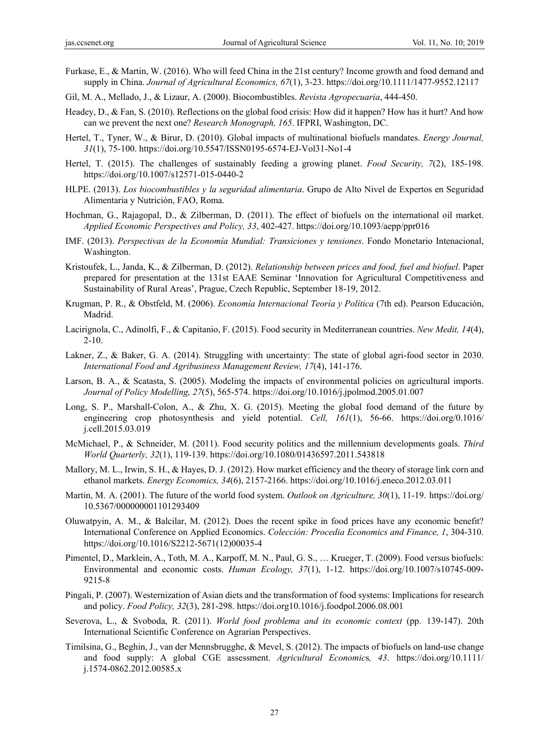- Furkase, E., & Martin, W. (2016). Who will feed China in the 21st century? Income growth and food demand and supply in China. *Journal of Agricultural Economics, 67*(1), 3-23. https://doi.org/10.1111/1477-9552.12117
- Gil, M. A., Mellado, J., & Lizaur, A. (2000). Biocombustibles. *Revista Agropecuaria*, 444-450.
- Headey, D., & Fan, S. (2010). Reflections on the global food crisis: How did it happen? How has it hurt? And how can we prevent the next one? *Research Monograph, 165*. IFPRI, Washington, DC.
- Hertel, T., Tyner, W., & Birur, D. (2010). Global impacts of multinational biofuels mandates. *Energy Journal, 31*(1), 75-100. https://doi.org/10.5547/ISSN0195-6574-EJ-Vol31-No1-4
- Hertel, T. (2015). The challenges of sustainably feeding a growing planet. *Food Security, 7*(2), 185-198. https://doi.org/10.1007/s12571-015-0440-2
- HLPE. (2013). *Los biocombustibles y la seguridad alimentaria*. Grupo de Alto Nivel de Expertos en Seguridad Alimentaria y Nutrición, FAO, Roma.
- Hochman, G., Rajagopal, D., & Zilberman, D. (2011). The effect of biofuels on the international oil market. *Applied Economic Perspectives and Policy, 33*, 402-427. https://doi.org/10.1093/aepp/ppr016
- IMF. (2013). *Perspectivas de la Economía Mundial: Transiciones y tensiones*. Fondo Monetario Intenacional, Washington.
- Kristoufek, L., Janda, K., & Zilberman, D. (2012). *Relationship between prices and food, fuel and biofuel*. Paper prepared for presentation at the 131st EAAE Seminar 'Innovation for Agricultural Competitiveness and Sustainability of Rural Areas', Prague, Czech Republic, September 18-19, 2012.
- Krugman, P. R., & Obstfeld, M. (2006). *Economía Internacional Teoría y Política* (7th ed). Pearson Educación, Madrid.
- Lacirignola, C., Adinolfi, F., & Capitanio, F. (2015). Food security in Mediterranean countries. *New Medit, 14*(4),  $2 - 10$ .
- Lakner, Z., & Baker, G. A. (2014). Struggling with uncertainty: The state of global agri-food sector in 2030. *International Food and Agribusiness Management Review, 17*(4), 141-176.
- Larson, B. A., & Scatasta, S. (2005). Modeling the impacts of environmental policies on agricultural imports. *Journal of Policy Modelling, 27*(5), 565-574. https://doi.org/10.1016/j.jpolmod.2005.01.007
- Long, S. P., Marshall-Colon, A., & Zhu, X. G. (2015). Meeting the global food demand of the future by engineering crop photosynthesis and yield potential. *Cell, 161*(1), 56-66. https://doi.org/0.1016/ j.cell.2015.03.019
- McMichael, P., & Schneider, M. (2011). Food security politics and the millennium developments goals. *Third World Quarterly, 32*(1), 119-139. https://doi.org/10.1080/01436597.2011.543818
- Mallory, M. L., Irwin, S. H., & Hayes, D. J. (2012). How market efficiency and the theory of storage link corn and ethanol markets. *Energy Economics, 34*(6), 2157-2166. https://doi.org/10.1016/j.eneco.2012.03.011
- Martin, M. A. (2001). The future of the world food system. *Outlook on Agriculture, 30*(1), 11-19. https://doi.org/ 10.5367/000000001101293409
- Oluwatpyin, A. M., & Balcilar, M. (2012). Does the recent spike in food prices have any economic benefit? International Conference on Applied Economics. *Colección: Procedia Economics and Finance, 1*, 304-310. https://doi.org/10.1016/S2212-5671(12)00035-4
- Pimentel, D., Marklein, A., Toth, M. A., Karpoff, M. N., Paul, G. S., … Krueger, T. (2009). Food versus biofuels: Environmental and economic costs. *Human Ecology, 37*(1), 1-12. https://doi.org/10.1007/s10745-009- 9215-8
- Pingali, P. (2007). Westernization of Asian diets and the transformation of food systems: Implications for research and policy. *Food Policy, 32*(3), 281-298. https://doi.org10.1016/j.foodpol.2006.08.001
- Severova, L., & Svoboda, R. (2011). *World food problema and its economic context* (pp. 139-147). 20th International Scientific Conference on Agrarian Perspectives.
- Timilsina, G., Beghin, J., van der Mennsbrugghe, & Mevel, S. (2012). The impacts of biofuels on land-use change and food supply: A global CGE assessment. *Agricultural Economic*s*, 43*. https://doi.org/10.1111/ j.1574-0862.2012.00585.x